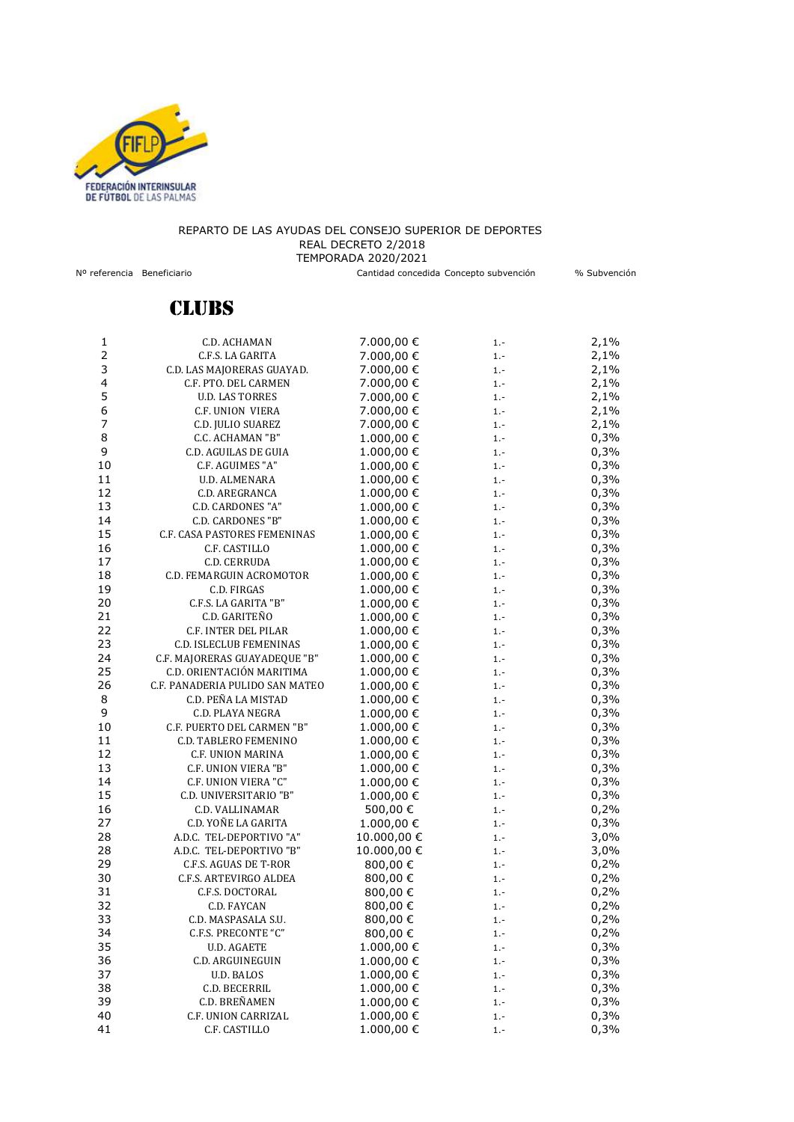

## REPARTO DE LAS AYUDAS DEL CONSEJO SUPERIOR DE DEPORTES REAL DECRETO 2/2018 TEMPORADA 2020/2021 Nº referencia Beneficiario Cantidad concedida Concepto subvención % Subvención

## **CLUBS**

|                | C.D. ACHAMAN                    |            |        |      |
|----------------|---------------------------------|------------|--------|------|
| 1              |                                 | 7.000,00 € | 1.-    | 2,1% |
|                | C.F.S. LA GARITA                | 7.000,00 € | $1. -$ | 2,1% |
| 3              | C.D. LAS MAJORERAS GUAYAD.      | 7.000,00 € | $1. -$ | 2,1% |
| 4              | C.F. PTO. DEL CARMEN            | 7.000,00 € | $1. -$ | 2,1% |
| 5              | <b>U.D. LAS TORRES</b>          | 7.000,00 € | $1. -$ | 2,1% |
| 6              | C.F. UNION VIERA                | 7.000,00 € | $1. -$ | 2,1% |
| $\overline{7}$ | C.D. JULIO SUAREZ               | 7.000,00 € | $1. -$ | 2,1% |
| 8              | C.C. ACHAMAN "B"                | 1.000,00 € | $1. -$ | 0,3% |
| 9              | C.D. AGUILAS DE GUIA            | 1.000,00 € | $1. -$ | 0,3% |
| 10             | C.F. AGUIMES "A"                | 1.000,00€  | $1. -$ | 0,3% |
| 11             | U.D. ALMENARA                   | 1.000,00€  | $1. -$ | 0,3% |
| 12             | C.D. AREGRANCA                  | 1.000,00€  | $1. -$ | 0,3% |
| 13             | C.D. CARDONES "A"               | 1.000,00€  | $1. -$ | 0,3% |
| 14             | <b>C.D. CARDONES "B"</b>        | 1.000,00€  | $1. -$ | 0,3% |
| 15             | C.F. CASA PASTORES FEMENINAS    | 1.000,00€  | $1. -$ | 0,3% |
| 16             | C.F. CASTILLO                   | 1.000,00 € | $1. -$ | 0,3% |
| 17             | C.D. CERRUDA                    | 1.000,00€  | $1. -$ | 0,3% |
| 18             | C.D. FEMARGUIN ACROMOTOR        | 1.000,00€  | $1. -$ | 0,3% |
| 19             | C.D. FIRGAS                     | 1.000,00€  | $1. -$ | 0,3% |
| 20             | C.F.S. LA GARITA "B"            | 1.000,00€  | $1. -$ | 0,3% |
| 21             | C.D. GARITEÑO                   | 1.000,00€  | $1. -$ | 0,3% |
| 22             | <b>C.F. INTER DEL PILAR</b>     | 1.000,00€  | $1. -$ | 0,3% |
| 23             | C.D. ISLECLUB FEMENINAS         | 1.000,00€  | $1. -$ | 0,3% |
| 24             | C.F. MAJORERAS GUAYADEQUE "B"   | 1.000,00€  | $1. -$ | 0,3% |
| 25             | C.D. ORIENTACIÓN MARITIMA       | 1.000,00 € | $1. -$ | 0,3% |
| 26             | C.F. PANADERIA PULIDO SAN MATEO | 1.000,00€  | $1. -$ | 0,3% |
| 8              | C.D. PEÑA LA MISTAD             | 1.000,00 € | $1. -$ | 0,3% |
| 9              | C.D. PLAYA NEGRA                | 1.000,00€  | $1. -$ | 0,3% |
| 10             | C.F. PUERTO DEL CARMEN "B"      | 1.000,00€  | $1. -$ | 0,3% |
| 11             | C.D. TABLERO FEMENINO           | 1.000,00€  | $1 -$  | 0,3% |
| 12             | C.F. UNION MARINA               | 1.000,00€  |        | 0,3% |
| 13             | C.F. UNION VIERA "B"            | 1.000,00€  | $1. -$ | 0,3% |
| 14             |                                 |            | $1. -$ |      |
|                | C.F. UNION VIERA "C"            | 1.000,00 € | $1. -$ | 0,3% |
| 15             | C.D. UNIVERSITARIO "B"          | 1.000,00€  | $1. -$ | 0,3% |
| 16             | C.D. VALLINAMAR                 | 500,00 €   | $1. -$ | 0,2% |
| 27             | C.D. YOÑE LA GARITA             | 1.000,00 € | $1. -$ | 0,3% |
| 28             | A.D.C. TEL-DEPORTIVO "A"        | 10.000,00€ | $1. -$ | 3,0% |
| 28             | A.D.C. TEL-DEPORTIVO "B"        | 10.000,00€ | $1. -$ | 3,0% |
| 29             | C.F.S. AGUAS DE T-ROR           | 800,00 €   | $1. -$ | 0,2% |
| 30             | C.F.S. ARTEVIRGO ALDEA          | 800,00 €   | $1. -$ | 0,2% |
| 31             | C.F.S. DOCTORAL                 | 800,00€    | $1. -$ | 0,2% |
| 32             | C.D. FAYCAN                     | 800,00 €   | $1. -$ | 0,2% |
| 33             | C.D. MASPASALA S.U.             | 800,00 €   | $1. -$ | 0,2% |
| 34             | C.F.S. PRECONTE "C"             | 800,00€    | $1. -$ | 0,2% |
| 35             | <b>U.D. AGAETE</b>              | 1.000,00€  | 1.-    | 0,3% |
| 36             | C.D. ARGUINEGUIN                | 1.000,00€  | $1 -$  | 0,3% |
| 37             | <b>U.D. BALOS</b>               | 1.000,00€  | $1 -$  | 0,3% |
| 38             | C.D. BECERRIL                   | 1.000,00€  | $1. -$ | 0,3% |
| 39             | C.D. BREÑAMEN                   | 1.000,00€  | $1. -$ | 0,3% |
| 40             | C.F. UNION CARRIZAL             | 1.000,00€  | $1. -$ | 0,3% |
| 41             | C.F. CASTILLO                   | 1.000,00€  | $1 -$  | 0,3% |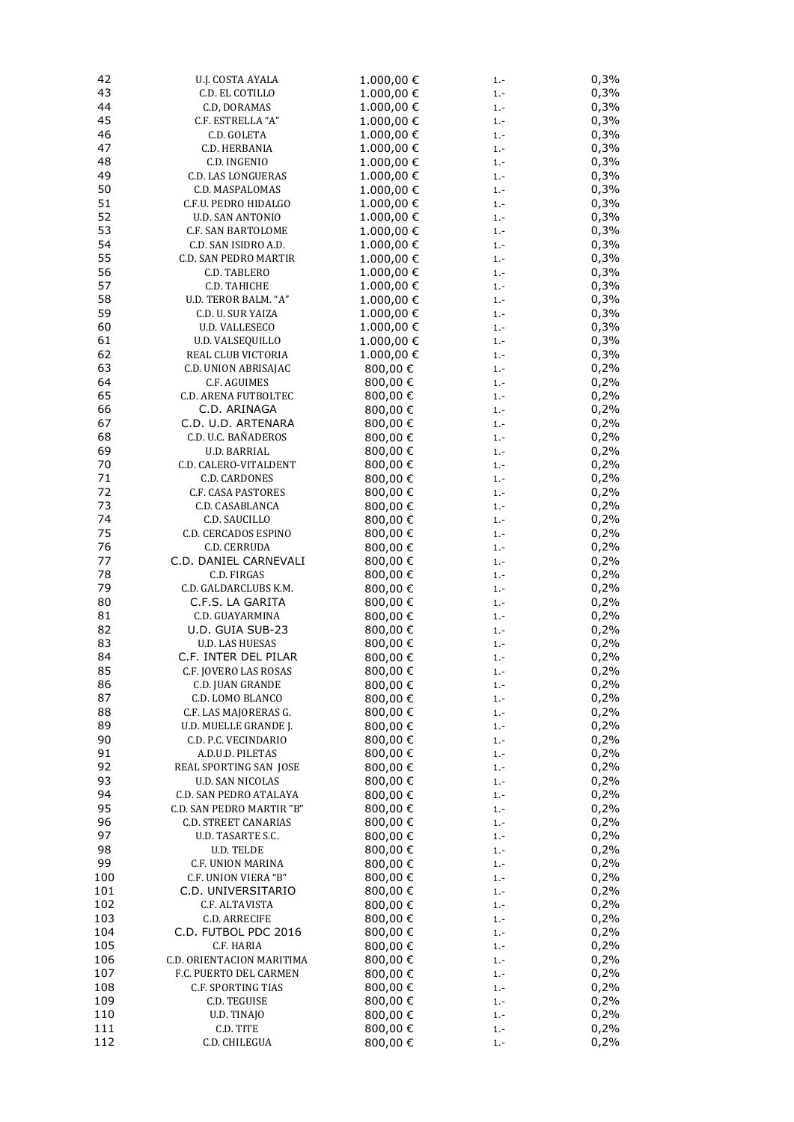| 42  | U.J. COSTA AYALA            | 1.000,00€  | $1. -$ | 0,3% |
|-----|-----------------------------|------------|--------|------|
| 43  | C.D. EL COTILLO             | 1.000,00€  | $1 -$  | 0,3% |
| 44  | C.D, DORAMAS                | 1.000,00€  | $1 -$  | 0,3% |
| 45  | C.F. ESTRELLA "A"           | 1.000,00€  | $1. -$ | 0,3% |
| 46  | C.D. GOLETA                 | 1.000,00 € | $1 -$  | 0,3% |
| 47  | C.D. HERBANIA               | 1.000,00 € | $1 -$  | 0,3% |
| 48  | C.D. INGENIO                | 1.000,00 € | $1 -$  | 0,3% |
| 49  | C.D. LAS LONGUERAS          | 1.000,00 € | $1 -$  | 0,3% |
| 50  | C.D. MASPALOMAS             | 1.000,00 € | $1 -$  | 0,3% |
| 51  | C.F.U. PEDRO HIDALGO        |            |        | 0,3% |
| 52  |                             | 1.000,00 € | $1 -$  |      |
|     | <b>U.D. SAN ANTONIO</b>     | 1.000,00 € | $1 -$  | 0,3% |
| 53  | C.F. SAN BARTOLOME          | 1.000,00 € | $1. -$ | 0,3% |
| 54  | C.D. SAN ISIDRO A.D.        | 1.000,00 € | $1 -$  | 0,3% |
| 55  | C.D. SAN PEDRO MARTIR       | 1.000,00 € | $1 -$  | 0,3% |
| 56  | C.D. TABLERO                | 1.000,00 € | $1 -$  | 0,3% |
| 57  | C.D. TAHICHE                | 1.000,00€  | $1. -$ | 0,3% |
| 58  | U.D. TEROR BALM. "A"        | 1.000,00 € | $1 -$  | 0,3% |
| 59  | C.D. U. SUR YAIZA           | 1.000,00€  | $1 -$  | 0,3% |
| 60  | U.D. VALLESECO              | 1.000,00€  | $1 -$  | 0,3% |
| 61  | <b>U.D. VALSEQUILLO</b>     | 1.000,00€  | $1 -$  | 0,3% |
| 62  | REAL CLUB VICTORIA          | 1.000,00€  | $1 -$  | 0,3% |
| 63  | C.D. UNION ABRISAJAC        | 800,00€    | $1 -$  | 0,2% |
| 64  | C.F. AGUIMES                | 800,00 €   | $1 -$  | 0,2% |
| 65  | <b>C.D. ARENA FUTBOLTEC</b> | 800,00 €   | $1 -$  | 0,2% |
| 66  | C.D. ARINAGA                |            |        | 0,2% |
|     |                             | 800,00 €   | $1 -$  |      |
| 67  | C.D. U.D. ARTENARA          | 800,00 €   | $1 -$  | 0,2% |
| 68  | C.D. U.C. BAÑADEROS         | 800,00 €   | $1 -$  | 0,2% |
| 69  | <b>U.D. BARRIAL</b>         | 800,00€    | $1 -$  | 0,2% |
| 70  | C.D. CALERO-VITALDENT       | 800,00 €   | $1 -$  | 0,2% |
| 71  | <b>C.D. CARDONES</b>        | 800,00€    | $1 -$  | 0,2% |
| 72  | C.F. CASA PASTORES          | 800,00€    | $1 -$  | 0,2% |
| 73  | C.D. CASABLANCA             | 800,00 €   | $1 -$  | 0,2% |
| 74  | C.D. SAUCILLO               | 800,00 €   | $1 -$  | 0,2% |
| 75  | <b>C.D. CERCADOS ESPINO</b> | 800,00 €   | $1. -$ | 0,2% |
| 76  | C.D. CERRUDA                | 800,00€    | $1 -$  | 0,2% |
| 77  | C.D. DANIEL CARNEVALI       | 800,00€    | $1 -$  | 0,2% |
| 78  | C.D. FIRGAS                 | 800,00€    | $1. -$ | 0,2% |
| 79  | C.D. GALDARCLUBS K.M.       | 800,00 €   | $1. -$ | 0,2% |
| 80  | C.F.S. LA GARITA            | 800,00€    | $1 -$  | 0,2% |
| 81  | C.D. GUAYARMINA             | 800,00 €   | $1. -$ | 0,2% |
| 82  | U.D. GUIA SUB-23            |            |        | 0,2% |
|     |                             | 800,00 €   | $1. -$ |      |
| 83  | <b>U.D. LAS HUESAS</b>      | 800,00€    | $1 -$  | 0,2% |
| 84  | C.F. INTER DEL PILAR        | 800,00€    | $1. -$ | 0,2% |
| 85  | C.F. JOVERO LAS ROSAS       | 800,00€    | $1 -$  | 0,2% |
| 86  | C.D. JUAN GRANDE            | 800,00 €   | $1. -$ | 0,2% |
| 87  | C.D. LOMO BLANCO            | 800,00€    | $1. -$ | 0,2% |
| 88  | C.F. LAS MAJORERAS G.       | 800,00 €   | $1. -$ | 0,2% |
| 89  | U.D. MUELLE GRANDE J.       | 800,00€    | $1 -$  | 0,2% |
| 90  | C.D. P.C. VECINDARIO        | 800,00 €   | $1 -$  | 0,2% |
| 91  | A.D.U.D. PILETAS            | 800,00 €   | $1 -$  | 0,2% |
| 92  | REAL SPORTING SAN JOSE      | 800,00€    | $1 -$  | 0,2% |
| 93  | U.D. SAN NICOLAS            | 800,00 €   | $1 -$  | 0,2% |
| 94  | C.D. SAN PEDRO ATALAYA      | 800,00 €   | $1 -$  | 0,2% |
| 95  | C.D. SAN PEDRO MARTIR "B"   | 800,00 €   | $1 -$  | 0,2% |
| 96  | <b>C.D. STREET CANARIAS</b> | 800,00 €   | $1. -$ | 0,2% |
| 97  | U.D. TASARTE S.C.           | 800,00 €   | $1 -$  | 0,2% |
| 98  | U.D. TELDE                  | 800,00 €   |        | 0,2% |
| 99  |                             |            | $1 -$  | 0,2% |
|     | C.F. UNION MARINA           | 800,00 €   | $1 -$  |      |
| 100 | C.F. UNION VIERA "B"        | 800,00 €   | $1 -$  | 0,2% |
| 101 | C.D. UNIVERSITARIO          | 800,00 €   | $1 -$  | 0,2% |
| 102 | C.F. ALTAVISTA              | 800,00 €   | $1 -$  | 0,2% |
| 103 | C.D. ARRECIFE               | 800,00 €   | $1. -$ | 0,2% |
| 104 | C.D. FUTBOL PDC 2016        | 800,00 €   | $1. -$ | 0,2% |
| 105 | C.F. HARIA                  | 800,00 €   | $1 -$  | 0,2% |
| 106 | C.D. ORIENTACION MARITIMA   | 800,00€    | $1 -$  | 0,2% |
| 107 | F.C. PUERTO DEL CARMEN      | 800,00 €   | $1 -$  | 0,2% |
| 108 | C.F. SPORTING TIAS          | 800,00 €   | $1 -$  | 0,2% |
| 109 | C.D. TEGUISE                | 800,00 €   | $1 -$  | 0,2% |
| 110 | U.D. TINAJO                 | 800,00 €   | $1. -$ | 0,2% |
| 111 | C.D. TITE                   | 800,00 €   | $1. -$ | 0,2% |
| 112 | C.D. CHILEGUA               | 800,00€    | $1. -$ | 0,2% |
|     |                             |            |        |      |